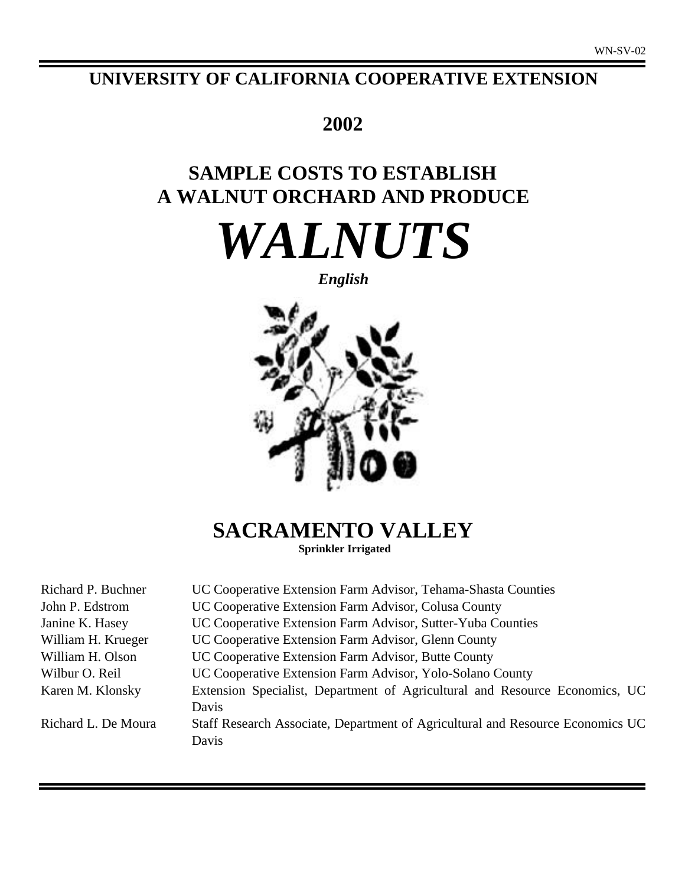# **UNIVERSITY OF CALIFORNIA COOPERATIVE EXTENSION**

# **2002**

# **SAMPLE COSTS TO ESTABLISH A WALNUT ORCHARD AND PRODUCE**

*WALNUTS*

*English*



**SACRAMENTO VALLEY**

**Sprinkler Irrigated**

| UC Cooperative Extension Farm Advisor, Tehama-Shasta Counties                           |
|-----------------------------------------------------------------------------------------|
| UC Cooperative Extension Farm Advisor, Colusa County                                    |
| UC Cooperative Extension Farm Advisor, Sutter-Yuba Counties                             |
| UC Cooperative Extension Farm Advisor, Glenn County                                     |
| UC Cooperative Extension Farm Advisor, Butte County                                     |
| UC Cooperative Extension Farm Advisor, Yolo-Solano County                               |
| Extension Specialist, Department of Agricultural and Resource Economics, UC<br>Davis    |
| Staff Research Associate, Department of Agricultural and Resource Economics UC<br>Davis |
|                                                                                         |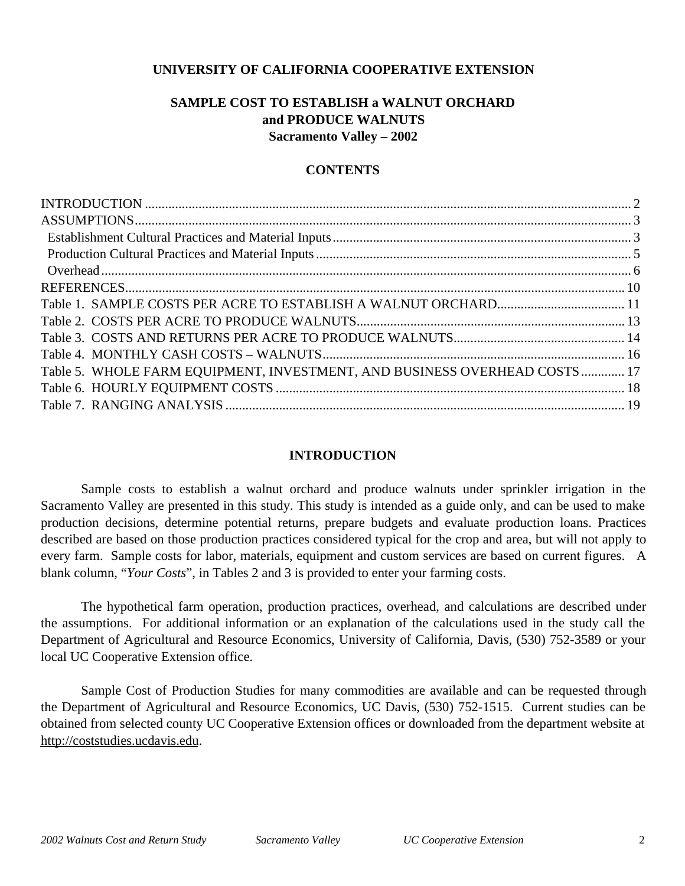# **UNIVERSITY OF CALIFORNIA COOPERATIVE EXTENSION**

# **SAMPLE COST TO ESTABLISH a WALNUT ORCHARD and PRODUCE WALNUTS Sacramento Valley – 2002**

# **CONTENTS**

| Table 5. WHOLE FARM EQUIPMENT, INVESTMENT, AND BUSINESS OVERHEAD COSTS 17 |
|---------------------------------------------------------------------------|
|                                                                           |
|                                                                           |

# **INTRODUCTION**

Sample costs to establish a walnut orchard and produce walnuts under sprinkler irrigation in the Sacramento Valley are presented in this study. This study is intended as a guide only, and can be used to make production decisions, determine potential returns, prepare budgets and evaluate production loans. Practices described are based on those production practices considered typical for the crop and area, but will not apply to every farm. Sample costs for labor, materials, equipment and custom services are based on current figures. A blank column, "*Your Costs*", in Tables 2 and 3 is provided to enter your farming costs.

The hypothetical farm operation, production practices, overhead, and calculations are described under the assumptions. For additional information or an explanation of the calculations used in the study call the Department of Agricultural and Resource Economics, University of California, Davis, (530) 752-3589 or your local UC Cooperative Extension office.

Sample Cost of Production Studies for many commodities are available and can be requested through the Department of Agricultural and Resource Economics, UC Davis, (530) 752-1515. Current studies can be obtained from selected county UC Cooperative Extension offices or downloaded from the department website at http://coststudies.ucdavis.edu.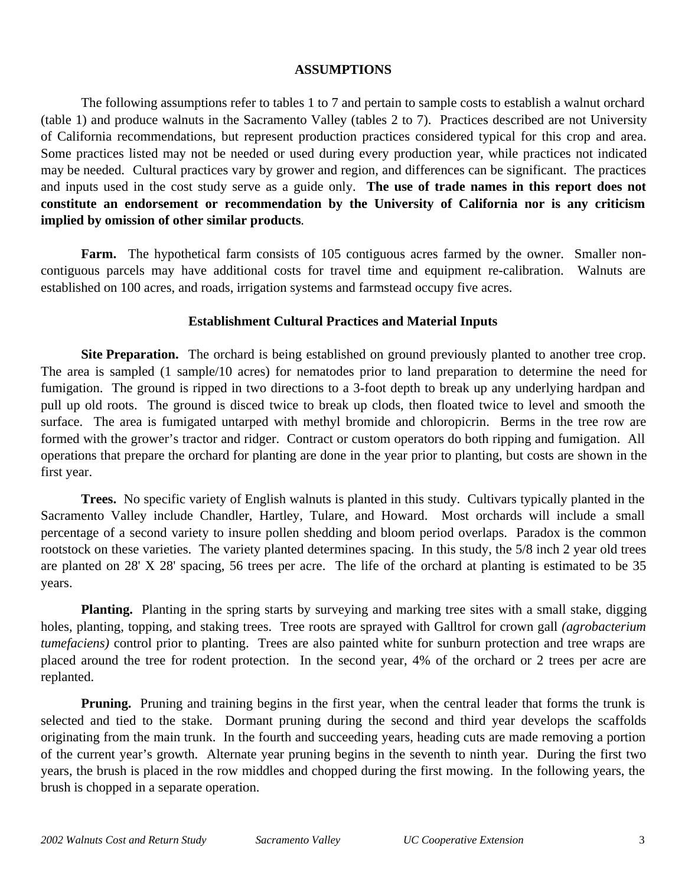## **ASSUMPTIONS**

The following assumptions refer to tables 1 to 7 and pertain to sample costs to establish a walnut orchard (table 1) and produce walnuts in the Sacramento Valley (tables 2 to 7). Practices described are not University of California recommendations, but represent production practices considered typical for this crop and area. Some practices listed may not be needed or used during every production year, while practices not indicated may be needed.Cultural practices vary by grower and region, and differences can be significant. The practices and inputs used in the cost study serve as a guide only. **The use of trade names in this report does not constitute an endorsement or recommendation by the University of California nor is any criticism implied by omission of other similar products***.*

**Farm.** The hypothetical farm consists of 105 contiguous acres farmed by the owner. Smaller noncontiguous parcels may have additional costs for travel time and equipment re-calibration. Walnuts are established on 100 acres, and roads, irrigation systems and farmstead occupy five acres.

# **Establishment Cultural Practices and Material Inputs**

**Site Preparation.** The orchard is being established on ground previously planted to another tree crop. The area is sampled (1 sample/10 acres) for nematodes prior to land preparation to determine the need for fumigation. The ground is ripped in two directions to a 3-foot depth to break up any underlying hardpan and pull up old roots. The ground is disced twice to break up clods, then floated twice to level and smooth the surface. The area is fumigated untarped with methyl bromide and chloropicrin. Berms in the tree row are formed with the grower's tractor and ridger. Contract or custom operators do both ripping and fumigation. All operations that prepare the orchard for planting are done in the year prior to planting, but costs are shown in the first year.

**Trees.** No specific variety of English walnuts is planted in this study. Cultivars typically planted in the Sacramento Valley include Chandler, Hartley, Tulare, and Howard. Most orchards will include a small percentage of a second variety to insure pollen shedding and bloom period overlaps. Paradox is the common rootstock on these varieties. The variety planted determines spacing. In this study, the 5/8 inch 2 year old trees are planted on 28' X 28' spacing, 56 trees per acre. The life of the orchard at planting is estimated to be 35 years.

**Planting.** Planting in the spring starts by surveying and marking tree sites with a small stake, digging holes, planting, topping, and staking trees. Tree roots are sprayed with Galltrol for crown gall *(agrobacterium tumefaciens)* control prior to planting. Trees are also painted white for sunburn protection and tree wraps are placed around the tree for rodent protection. In the second year, 4% of the orchard or 2 trees per acre are replanted.

**Pruning.** Pruning and training begins in the first year, when the central leader that forms the trunk is selected and tied to the stake. Dormant pruning during the second and third year develops the scaffolds originating from the main trunk. In the fourth and succeeding years, heading cuts are made removing a portion of the current year's growth. Alternate year pruning begins in the seventh to ninth year. During the first two years, the brush is placed in the row middles and chopped during the first mowing. In the following years, the brush is chopped in a separate operation.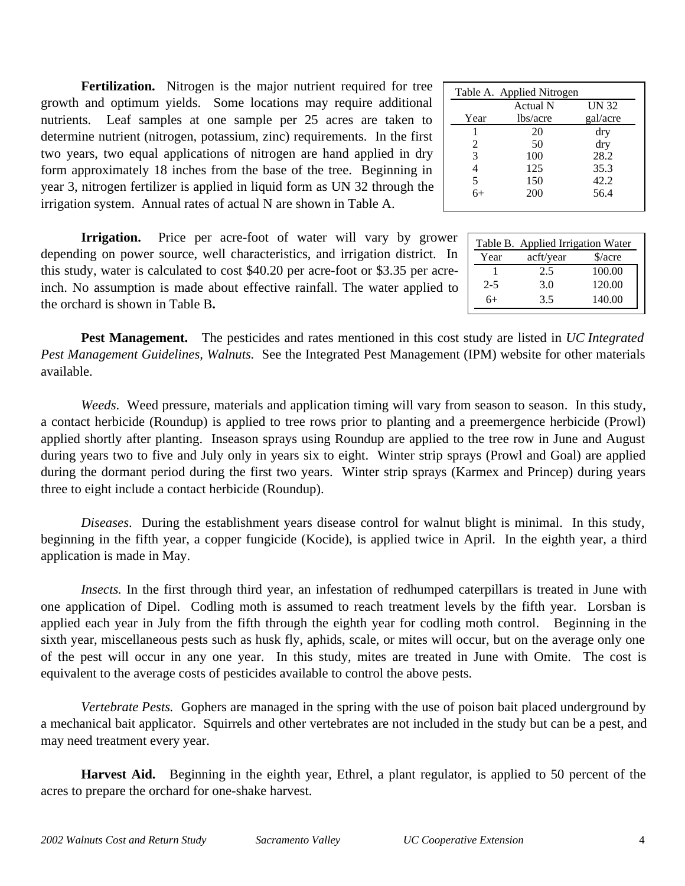|              | Table A. Applied Nitrogen |          |
|--------------|---------------------------|----------|
|              | Actual N                  | UN 32    |
| Year         | lbs/acre                  | gal/acre |
|              | 20                        | dry      |
| 2            | 50                        | dry      |
| 3            | 100                       | 28.2     |
| 4            | 125                       | 35.3     |
| $rac{5}{6+}$ | 150                       | 42.2     |
|              | 200                       | 56.4     |
|              |                           |          |

|         | Table B. Applied Irrigation Water |                             |
|---------|-----------------------------------|-----------------------------|
| Year    | acft/year                         | $\frac{\text{a}}{\text{a}}$ |
|         | 2.5                               | 100.00                      |
| $2 - 5$ | 3.0                               | 120.00                      |
| $6+$    | 3.5                               | 140.00                      |

**Fertilization.** Nitrogen is the major nutrient required for tree growth and optimum yields. Some locations may require additional nutrients. Leaf samples at one sample per 25 acres are taken to determine nutrient (nitrogen, potassium, zinc) requirements. In the first two years, two equal applications of nitrogen are hand applied in dry form approximately 18 inches from the base of the tree. Beginning in year 3, nitrogen fertilizer is applied in liquid form as UN 32 through the irrigation system. Annual rates of actual N are shown in Table A.

**Irrigation.** Price per acre-foot of water will vary by grower depending on power source, well characteristics, and irrigation district. In this study, water is calculated to cost \$40.20 per acre-foot or \$3.35 per acreinch. No assumption is made about effective rainfall. The water applied to the orchard is shown in Table B**.**

**Pest Management.** The pesticides and rates mentioned in this cost study are listed in *UC Integrated Pest Management Guidelines, Walnuts.* See the Integrated Pest Management (IPM) website for other materials available.

*Weeds*. Weed pressure, materials and application timing will vary from season to season. In this study, a contact herbicide (Roundup) is applied to tree rows prior to planting and a preemergence herbicide (Prowl) applied shortly after planting. Inseason sprays using Roundup are applied to the tree row in June and August during years two to five and July only in years six to eight. Winter strip sprays (Prowl and Goal) are applied during the dormant period during the first two years. Winter strip sprays (Karmex and Princep) during years three to eight include a contact herbicide (Roundup).

*Diseases*. During the establishment years disease control for walnut blight is minimal. In this study, beginning in the fifth year, a copper fungicide (Kocide), is applied twice in April. In the eighth year, a third application is made in May.

*Insects.* In the first through third year, an infestation of redhumped caterpillars is treated in June with one application of Dipel. Codling moth is assumed to reach treatment levels by the fifth year. Lorsban is applied each year in July from the fifth through the eighth year for codling moth control. Beginning in the sixth year, miscellaneous pests such as husk fly, aphids, scale, or mites will occur, but on the average only one of the pest will occur in any one year. In this study, mites are treated in June with Omite. The cost is equivalent to the average costs of pesticides available to control the above pests.

*Vertebrate Pests.* Gophers are managed in the spring with the use of poison bait placed underground by a mechanical bait applicator. Squirrels and other vertebrates are not included in the study but can be a pest, and may need treatment every year.

**Harvest Aid.** Beginning in the eighth year, Ethrel, a plant regulator, is applied to 50 percent of the acres to prepare the orchard for one-shake harvest.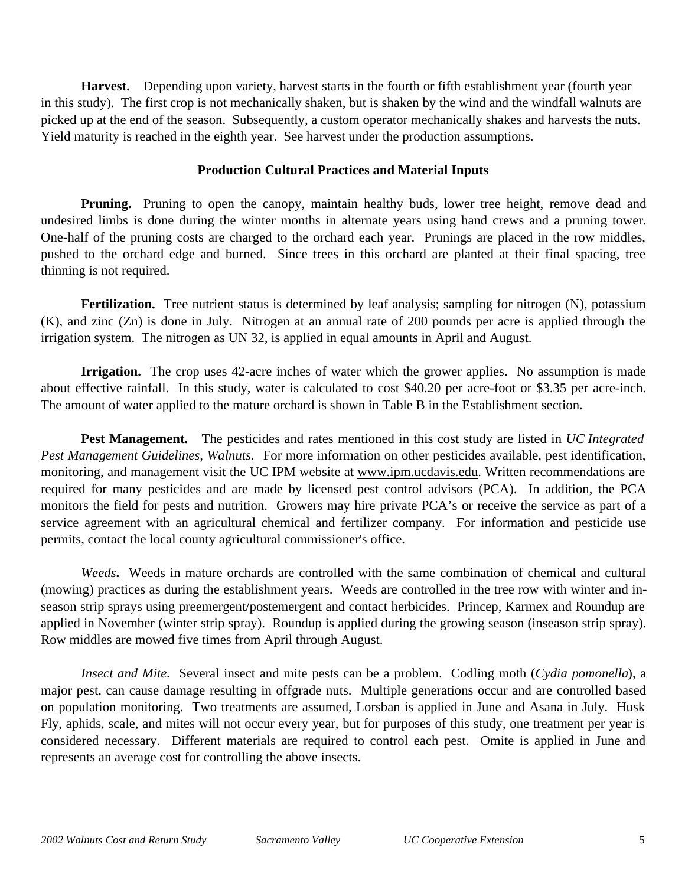**Harvest.** Depending upon variety, harvest starts in the fourth or fifth establishment year (fourth year in this study). The first crop is not mechanically shaken, but is shaken by the wind and the windfall walnuts are picked up at the end of the season. Subsequently, a custom operator mechanically shakes and harvests the nuts. Yield maturity is reached in the eighth year. See harvest under the production assumptions.

# **Production Cultural Practices and Material Inputs**

**Pruning.** Pruning to open the canopy, maintain healthy buds, lower tree height, remove dead and undesired limbs is done during the winter months in alternate years using hand crews and a pruning tower. One-half of the pruning costs are charged to the orchard each year. Prunings are placed in the row middles, pushed to the orchard edge and burned. Since trees in this orchard are planted at their final spacing, tree thinning is not required.

Fertilization. Tree nutrient status is determined by leaf analysis; sampling for nitrogen (N), potassium (K), and zinc (Zn) is done in July. Nitrogen at an annual rate of 200 pounds per acre is applied through the irrigation system. The nitrogen as UN 32, is applied in equal amounts in April and August.

**Irrigation.** The crop uses 42-acre inches of water which the grower applies. No assumption is made about effective rainfall. In this study, water is calculated to cost \$40.20 per acre-foot or \$3.35 per acre-inch. The amount of water applied to the mature orchard is shown in Table B in the Establishment section**.**

**Pest Management.** The pesticides and rates mentioned in this cost study are listed in *UC Integrated Pest Management Guidelines, Walnuts.* For more information on other pesticides available, pest identification, monitoring, and management visit the UC IPM website at www.ipm.ucdavis.edu. Written recommendations are required for many pesticides and are made by licensed pest control advisors (PCA). In addition, the PCA monitors the field for pests and nutrition. Growers may hire private PCA's or receive the service as part of a service agreement with an agricultural chemical and fertilizer company. For information and pesticide use permits, contact the local county agricultural commissioner's office.

*Weeds***.** Weeds in mature orchards are controlled with the same combination of chemical and cultural (mowing) practices as during the establishment years. Weeds are controlled in the tree row with winter and inseason strip sprays using preemergent/postemergent and contact herbicides. Princep, Karmex and Roundup are applied in November (winter strip spray). Roundup is applied during the growing season (inseason strip spray). Row middles are mowed five times from April through August.

*Insect and Mite.* Several insect and mite pests can be a problem. Codling moth (*Cydia pomonella*), a major pest, can cause damage resulting in offgrade nuts. Multiple generations occur and are controlled based on population monitoring. Two treatments are assumed, Lorsban is applied in June and Asana in July. Husk Fly, aphids, scale, and mites will not occur every year, but for purposes of this study, one treatment per year is considered necessary. Different materials are required to control each pest. Omite is applied in June and represents an average cost for controlling the above insects.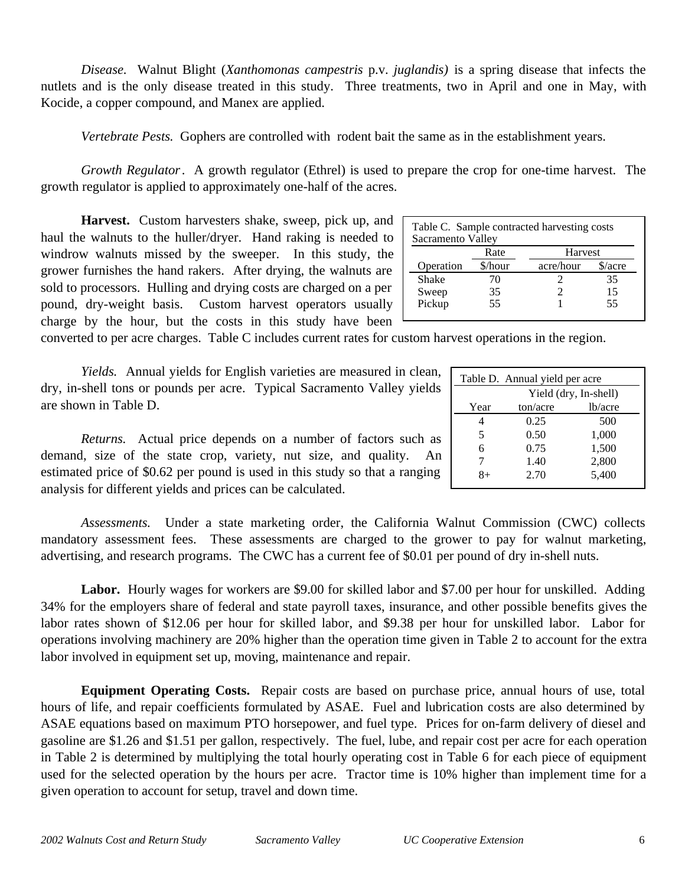*Disease.* Walnut Blight (*Xanthomonas campestris* p.v. *juglandis)* is a spring disease that infects the nutlets and is the only disease treated in this study. Three treatments, two in April and one in May, with Kocide, a copper compound, and Manex are applied.

*Vertebrate Pests.* Gophers are controlled with rodent bait the same as in the establishment years.

*Growth Regulator*. A growth regulator (Ethrel) is used to prepare the crop for one-time harvest. The growth regulator is applied to approximately one-half of the acres.

**Harvest.** Custom harvesters shake, sweep, pick up, and haul the walnuts to the huller/dryer. Hand raking is needed to windrow walnuts missed by the sweeper. In this study, the grower furnishes the hand rakers. After drying, the walnuts are sold to processors. Hulling and drying costs are charged on a per pound, dry-weight basis. Custom harvest operators usually charge by the hour, but the costs in this study have been

Table C. Sample contracted harvesting costs Sacramento Valley Rate Harvest Operation \$/hour acre/hour \$/acre Shake 70 2 35<br>Sweep 35 2 15 Sweep 35 2 15 Pickup 55 1 55

converted to per acre charges. Table C includes current rates for custom harvest operations in the region.

*Yields.* Annual yields for English varieties are measured in clean, dry, in-shell tons or pounds per acre. Typical Sacramento Valley yields are shown in Table D.

*Returns.* Actual price depends on a number of factors such as demand, size of the state crop, variety, nut size, and quality. An estimated price of \$0.62 per pound is used in this study so that a ranging analysis for different yields and prices can be calculated.

*Assessments.* Under a state marketing order, the California Walnut Commission (CWC) collects mandatory assessment fees. These assessments are charged to the grower to pay for walnut marketing, advertising, and research programs. The CWC has a current fee of \$0.01 per p

**Labor.** Hourly wages for workers are \$9.00 for skilled labor and \$7.00 per hour for unskilled. Adding 34% for the employers share of federal and state payroll taxes, insurance, and other possible benefits gives the labor rates shown of \$12.06 per hour for skilled labor, and \$9.38 per hour for unskilled labor. Labor for operations involving machinery are 20% higher than the operation time given in Table 2 to account for the extra labor involved in equipment set up, moving, maintenance and repair.

**Equipment Operating Costs.** Repair costs are based on purchase price, annual hours of use, total hours of life, and repair coefficients formulated by ASAE. Fuel and lubrication costs are also determined by ASAE equations based on maximum PTO horsepower, and fuel type. Prices for on-farm delivery of diesel and gasoline are \$1.26 and \$1.51 per gallon, respectively. The fuel, lube, and repair cost per acre for each operation in Table 2 is determined by multiplying the total hourly operating cost in Table 6 for each piece of equipment used for the selected operation by the hours per acre. Tractor time is 10% higher than implement time for a given operation to account for setup, travel and down time.

| nut Commission (CWC) collect<br>er to pay for walnut marketing<br>bound of dry in-shell nuts. |
|-----------------------------------------------------------------------------------------------|
| 00 per hour for unskilled. Addin                                                              |

| Table D. Annual yield per acre |          |         |  |  |  |  |
|--------------------------------|----------|---------|--|--|--|--|
| Yield (dry, In-shell)          |          |         |  |  |  |  |
| Year                           | ton/acre | lb/acre |  |  |  |  |
|                                | 0.25     | 500     |  |  |  |  |
| 5                              | 0.50     | 1,000   |  |  |  |  |
| 6                              | 0.75     | 1,500   |  |  |  |  |
| 7                              | 1.40     | 2,800   |  |  |  |  |
| $8+$                           | 2.70     | 5,400   |  |  |  |  |
|                                |          |         |  |  |  |  |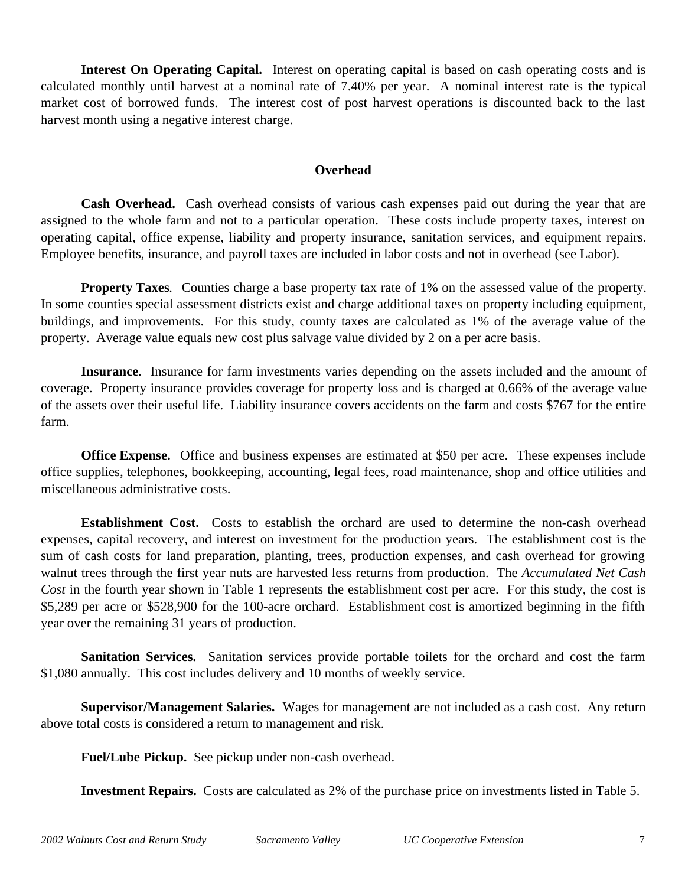**Interest On Operating Capital.**Interest on operating capital is based on cash operating costs and is calculated monthly until harvest at a nominal rate of 7.40% per year. A nominal interest rate is the typical market cost of borrowed funds. The interest cost of post harvest operations is discounted back to the last harvest month using a negative interest charge.

# **Overhead**

**Cash Overhead.** Cash overhead consists of various cash expenses paid out during the year that are assigned to the whole farm and not to a particular operation. These costs include property taxes, interest on operating capital, office expense, liability and property insurance, sanitation services, and equipment repairs. Employee benefits, insurance, and payroll taxes are included in labor costs and not in overhead (see Labor).

**Property Taxes**. Counties charge a base property tax rate of 1% on the assessed value of the property. In some counties special assessment districts exist and charge additional taxes on property including equipment, buildings, and improvements. For this study, county taxes are calculated as 1% of the average value of the property. Average value equals new cost plus salvage value divided by 2 on a per acre basis.

**Insurance***.* Insurance for farm investments varies depending on the assets included and the amount of coverage. Property insurance provides coverage for property loss and is charged at 0.66% of the average value of the assets over their useful life. Liability insurance covers accidents on the farm and costs \$767 for the entire farm.

**Office Expense.** Office and business expenses are estimated at \$50 per acre. These expenses include office supplies, telephones, bookkeeping, accounting, legal fees, road maintenance, shop and office utilities and miscellaneous administrative costs.

**Establishment Cost.** Costs to establish the orchard are used to determine the non-cash overhead expenses, capital recovery, and interest on investment for the production years. The establishment cost is the sum of cash costs for land preparation, planting, trees, production expenses, and cash overhead for growing walnut trees through the first year nuts are harvested less returns from production. The *Accumulated Net Cash Cost* in the fourth year shown in Table 1 represents the establishment cost per acre. For this study, the cost is \$5,289 per acre or \$528,900 for the 100-acre orchard. Establishment cost is amortized beginning in the fifth year over the remaining 31 years of production.

**Sanitation Services.** Sanitation services provide portable toilets for the orchard and cost the farm \$1,080 annually. This cost includes delivery and 10 months of weekly service.

**Supervisor/Management Salaries.** Wages for management are not included as a cash cost. Any return above total costs is considered a return to management and risk.

**Fuel/Lube Pickup.** See pickup under non-cash overhead.

**Investment Repairs.** Costs are calculated as 2% of the purchase price on investments listed in Table 5.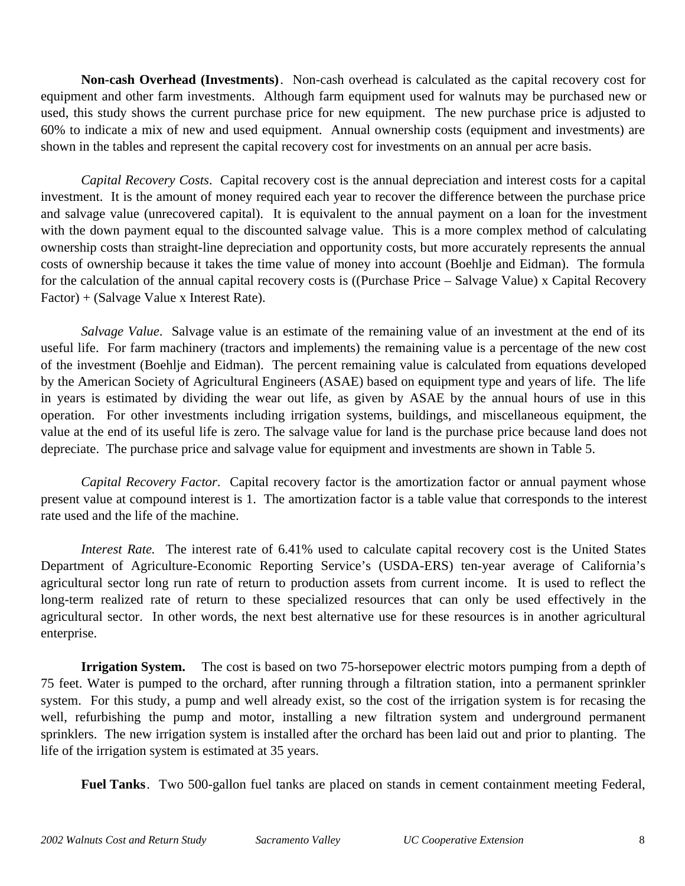**Non-cash Overhead (Investments)**. Non-cash overhead is calculated as the capital recovery cost for equipment and other farm investments. Although farm equipment used for walnuts may be purchased new or used, this study shows the current purchase price for new equipment. The new purchase price is adjusted to 60% to indicate a mix of new and used equipment. Annual ownership costs (equipment and investments) are shown in the tables and represent the capital recovery cost for investments on an annual per acre basis.

*Capital Recovery Costs*. Capital recovery cost is the annual depreciation and interest costs for a capital investment. It is the amount of money required each year to recover the difference between the purchase price and salvage value (unrecovered capital). It is equivalent to the annual payment on a loan for the investment with the down payment equal to the discounted salvage value. This is a more complex method of calculating ownership costs than straight-line depreciation and opportunity costs, but more accurately represents the annual costs of ownership because it takes the time value of money into account (Boehlje and Eidman). The formula for the calculation of the annual capital recovery costs is ((Purchase Price – Salvage Value) x Capital Recovery Factor) + (Salvage Value x Interest Rate).

*Salvage Value*. Salvage value is an estimate of the remaining value of an investment at the end of its useful life. For farm machinery (tractors and implements) the remaining value is a percentage of the new cost of the investment (Boehlje and Eidman). The percent remaining value is calculated from equations developed by the American Society of Agricultural Engineers (ASAE) based on equipment type and years of life. The life in years is estimated by dividing the wear out life, as given by ASAE by the annual hours of use in this operation. For other investments including irrigation systems, buildings, and miscellaneous equipment, the value at the end of its useful life is zero. The salvage value for land is the purchase price because land does not depreciate. The purchase price and salvage value for equipment and investments are shown in Table 5.

*Capital Recovery Factor*. Capital recovery factor is the amortization factor or annual payment whose present value at compound interest is 1. The amortization factor is a table value that corresponds to the interest rate used and the life of the machine.

*Interest Rate.* The interest rate of 6.41% used to calculate capital recovery cost is the United States Department of Agriculture-Economic Reporting Service's (USDA-ERS) ten-year average of California's agricultural sector long run rate of return to production assets from current income. It is used to reflect the long-term realized rate of return to these specialized resources that can only be used effectively in the agricultural sector. In other words, the next best alternative use for these resources is in another agricultural enterprise.

**Irrigation System.** The cost is based on two 75-horsepower electric motors pumping from a depth of 75 feet. Water is pumped to the orchard, after running through a filtration station, into a permanent sprinkler system. For this study, a pump and well already exist, so the cost of the irrigation system is for recasing the well, refurbishing the pump and motor, installing a new filtration system and underground permanent sprinklers. The new irrigation system is installed after the orchard has been laid out and prior to planting. The life of the irrigation system is estimated at 35 years.

**Fuel Tanks**. Two 500-gallon fuel tanks are placed on stands in cement containment meeting Federal,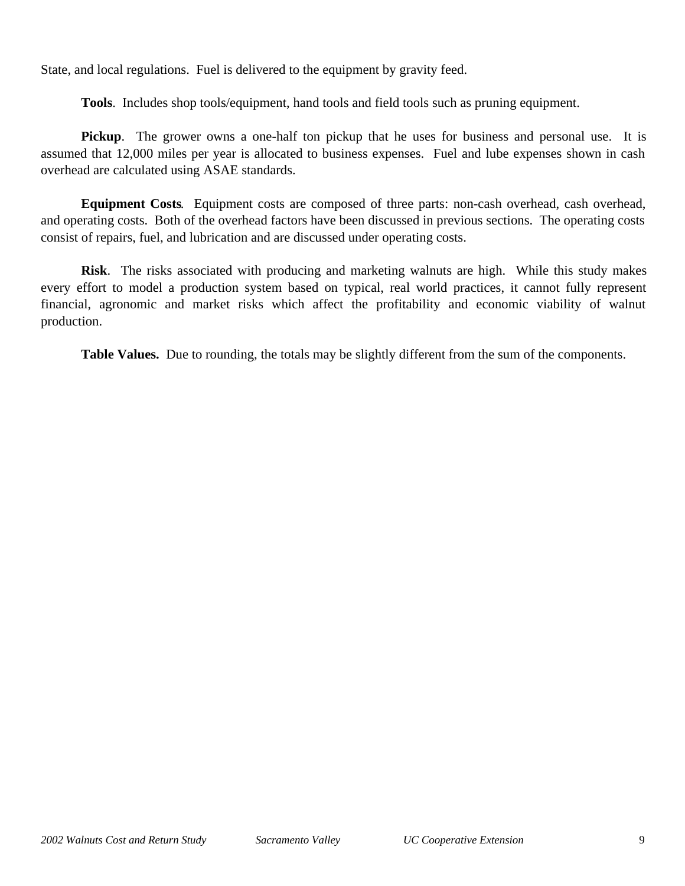State, and local regulations. Fuel is delivered to the equipment by gravity feed.

**Tools**. Includes shop tools/equipment, hand tools and field tools such as pruning equipment.

**Pickup.** The grower owns a one-half ton pickup that he uses for business and personal use. It is assumed that 12,000 miles per year is allocated to business expenses. Fuel and lube expenses shown in cash overhead are calculated using ASAE standards.

**Equipment Costs**. Equipment costs are composed of three parts: non-cash overhead, cash overhead, and operating costs. Both of the overhead factors have been discussed in previous sections. The operating costs consist of repairs, fuel, and lubrication and are discussed under operating costs.

**Risk**. The risks associated with producing and marketing walnuts are high. While this study makes every effort to model a production system based on typical, real world practices, it cannot fully represent financial, agronomic and market risks which affect the profitability and economic viability of walnut production.

**Table Values.** Due to rounding, the totals may be slightly different from the sum of the components.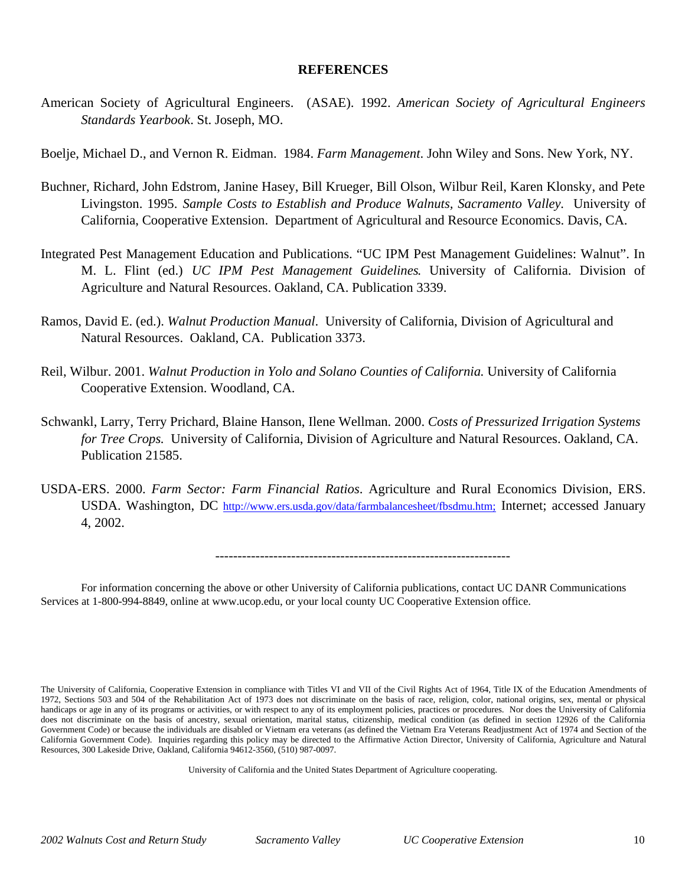## **REFERENCES**

American Society of Agricultural Engineers. (ASAE). 1992. *American Society of Agricultural Engineers Standards Yearbook*. St. Joseph, MO.

Boelje, Michael D., and Vernon R. Eidman. 1984. *Farm Management*. John Wiley and Sons. New York, NY.

- Buchner, Richard, John Edstrom, Janine Hasey, Bill Krueger, Bill Olson, Wilbur Reil, Karen Klonsky, and Pete Livingston. 1995. *Sample Costs to Establish and Produce Walnuts, Sacramento Valley.* University of California, Cooperative Extension. Department of Agricultural and Resource Economics. Davis, CA.
- Integrated Pest Management Education and Publications. "UC IPM Pest Management Guidelines: Walnut". In M. L. Flint (ed.) *UC IPM Pest Management Guidelines*. University of California. Division of Agriculture and Natural Resources. Oakland, CA. Publication 3339.
- Ramos, David E. (ed.). *Walnut Production Manual*. University of California, Division of Agricultural and Natural Resources. Oakland, CA. Publication 3373.
- Reil, Wilbur. 2001. *Walnut Production in Yolo and Solano Counties of California.* University of California Cooperative Extension. Woodland, CA.
- Schwankl, Larry, Terry Prichard, Blaine Hanson, Ilene Wellman. 2000. *Costs of Pressurized Irrigation Systems for Tree Crops.* University of California, Division of Agriculture and Natural Resources. Oakland, CA. Publication 21585.
- USDA-ERS. 2000. *Farm Sector: Farm Financial Ratios*. Agriculture and Rural Economics Division, ERS. USDA. Washington, DC http://www.ers.usda.gov/data/farmbalancesheet/fbsdmu.htm; Internet; accessed January 4, 2002.

------------------------------------------------------------------

For information concerning the above or other University of California publications, contact UC DANR Communications Services at 1-800-994-8849, online at www.ucop.edu, or your local county UC Cooperative Extension office.

University of California and the United States Department of Agriculture cooperating.

The University of California, Cooperative Extension in compliance with Titles VI and VII of the Civil Rights Act of 1964, Title IX of the Education Amendments of 1972, Sections 503 and 504 of the Rehabilitation Act of 1973 does not discriminate on the basis of race, religion, color, national origins, sex, mental or physical handicaps or age in any of its programs or activities, or with respect to any of its employment policies, practices or procedures. Nor does the University of California does not discriminate on the basis of ancestry, sexual orientation, marital status, citizenship, medical condition (as defined in section 12926 of the California Government Code) or because the individuals are disabled or Vietnam era veterans (as defined the Vietnam Era Veterans Readjustment Act of 1974 and Section of the California Government Code). Inquiries regarding this policy may be directed to the Affirmative Action Director, University of California, Agriculture and Natural Resources, 300 Lakeside Drive, Oakland, California 94612-3560, (510) 987-0097.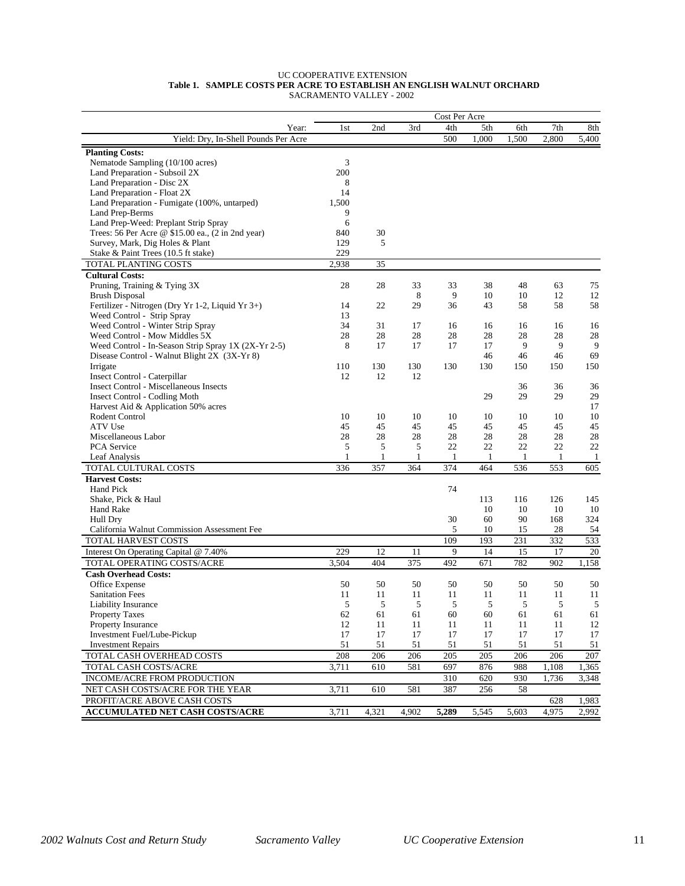#### UC COOPERATIVE EXTENSION  **Table 1. SAMPLE COSTS PER ACRE TO ESTABLISH AN ENGLISH WALNUT ORCHARD** SACRAMENTO VALLEY - 2002

| 4th<br>7th<br>1st<br>2nd<br>3rd<br>5th<br>6th<br>Year:<br>Yield: Dry, In-Shell Pounds Per Acre<br>500<br>1,000<br>1,500<br>2,800<br><b>Planting Costs:</b><br>Nematode Sampling (10/100 acres)<br>3 | 8th<br>5,400     |
|-----------------------------------------------------------------------------------------------------------------------------------------------------------------------------------------------------|------------------|
|                                                                                                                                                                                                     |                  |
|                                                                                                                                                                                                     |                  |
|                                                                                                                                                                                                     |                  |
|                                                                                                                                                                                                     |                  |
| Land Preparation - Subsoil 2X<br>200                                                                                                                                                                |                  |
| Land Preparation - Disc 2X<br>8                                                                                                                                                                     |                  |
| 14<br>Land Preparation - Float 2X                                                                                                                                                                   |                  |
| 1,500<br>Land Preparation - Fumigate (100%, untarped)                                                                                                                                               |                  |
| Land Prep-Berms<br>9                                                                                                                                                                                |                  |
| Land Prep-Weed: Preplant Strip Spray<br>6                                                                                                                                                           |                  |
| Trees: 56 Per Acre @ \$15.00 ea., (2 in 2nd year)<br>840<br>30                                                                                                                                      |                  |
| 129<br>5<br>Survey, Mark, Dig Holes & Plant                                                                                                                                                         |                  |
| Stake & Paint Trees (10.5 ft stake)<br>229                                                                                                                                                          |                  |
| $\overline{35}$<br>TOTAL PLANTING COSTS<br>2,938                                                                                                                                                    |                  |
| <b>Cultural Costs:</b>                                                                                                                                                                              |                  |
| 28<br>28<br>38<br>48<br>Pruning, Training & Tying 3X<br>33<br>33<br>63                                                                                                                              | 75               |
| 8<br>9<br>12<br><b>Brush Disposal</b><br>10<br>10                                                                                                                                                   | 12               |
| 58<br>Fertilizer - Nitrogen (Dry Yr 1-2, Liquid Yr 3+)<br>14<br>22<br>29<br>36<br>43<br>58                                                                                                          | 58               |
| Weed Control - Strip Spray<br>13                                                                                                                                                                    |                  |
| Weed Control - Winter Strip Spray<br>34<br>31<br>17<br>16<br>16<br>16<br>16                                                                                                                         | 16               |
| 28<br>28<br>28<br>28<br>28<br>28<br>28<br>Weed Control - Mow Middles 5X                                                                                                                             | 28               |
| 17<br>17<br>9<br>9<br>Weed Control - In-Season Strip Spray 1X (2X-Yr 2-5)<br>8<br>17<br>17                                                                                                          | 9                |
| 46<br>Disease Control - Walnut Blight 2X (3X-Yr 8)<br>46<br>46                                                                                                                                      | 69               |
| Irrigate<br>110<br>130<br>130<br>130<br>130<br>150<br>150                                                                                                                                           | 150              |
| Insect Control - Caterpillar<br>12<br>12<br>12                                                                                                                                                      |                  |
| <b>Insect Control - Miscellaneous Insects</b><br>36<br>36                                                                                                                                           | 36               |
| 29<br>29<br><b>Insect Control - Codling Moth</b><br>29                                                                                                                                              | 29               |
| Harvest Aid & Application 50% acres                                                                                                                                                                 | 17               |
| Rodent Control<br>10<br>10<br>10<br>10<br>10<br>10<br>10                                                                                                                                            | 10               |
| 45<br>45<br>45<br>ATV Use<br>45<br>45<br>45<br>45<br>28<br>28<br>28<br>28<br>28<br>28<br>28<br>Miscellaneous Labor                                                                                  | 45<br>28         |
| 5<br>5<br>22<br>22<br>22<br>22<br>PCA Service<br>5                                                                                                                                                  | 22               |
| $\mathbf{1}$<br>$\mathbf{1}$<br>Leaf Analysis<br>1<br>1<br>1<br>1<br>1                                                                                                                              | -1               |
| TOTAL CULTURAL COSTS<br>336<br>357<br>364<br>374<br>464<br>536<br>553                                                                                                                               | 605              |
| <b>Harvest Costs:</b>                                                                                                                                                                               |                  |
| Hand Pick<br>74                                                                                                                                                                                     |                  |
| Shake, Pick & Haul<br>113<br>116<br>126                                                                                                                                                             | 145              |
| Hand Rake<br>10<br>10<br>10                                                                                                                                                                         | 10               |
| 60<br>90<br>30<br>168<br>Hull Dry                                                                                                                                                                   | 324              |
| California Walnut Commission Assessment Fee<br>5<br>10<br>15<br>28                                                                                                                                  | 54               |
| 193<br>231<br>TOTAL HARVEST COSTS<br>109<br>332                                                                                                                                                     | 533              |
| 229<br>12<br>9<br>14<br>15<br>17<br>11<br>Interest On Operating Capital @ 7.40%                                                                                                                     | 20               |
| 671<br>375<br>492<br>782<br>902<br>TOTAL OPERATING COSTS/ACRE<br>3,504<br>404                                                                                                                       | 1,158            |
| <b>Cash Overhead Costs:</b>                                                                                                                                                                         |                  |
| Office Expense<br>50<br>50<br>50<br>50<br>50<br>50<br>50                                                                                                                                            | 50               |
| <b>Sanitation Fees</b><br>11<br>11<br>11<br>11<br>11<br>11<br>11                                                                                                                                    | 11               |
| 5<br>5<br>5<br>5<br>5<br>5<br>5<br>Liability Insurance                                                                                                                                              | 5                |
| <b>Property Taxes</b><br>62<br>61<br>61<br>60<br>60<br>61<br>61                                                                                                                                     | 61               |
| Property Insurance<br>12<br>11<br>11<br>11<br>11<br>11<br>11                                                                                                                                        | 12               |
| Investment Fuel/Lube-Pickup<br>17<br>17<br>17<br>17<br>17<br>17<br>17                                                                                                                               | 17               |
| <b>Investment Repairs</b><br>51<br>51<br>51<br>51<br>51<br>51<br>51                                                                                                                                 | 51               |
| TOTAL CASH OVERHEAD COSTS<br>206<br>206<br>205<br>206<br>208<br>205<br>206                                                                                                                          | $\overline{207}$ |
| 3,711<br>697<br>876<br>988<br>TOTAL CASH COSTS/ACRE<br>610<br>581<br>1,108                                                                                                                          | 1,365            |
| INCOME/ACRE FROM PRODUCTION<br>310<br>620<br>930<br>1,736                                                                                                                                           | 3,348            |
| NET CASH COSTS/ACRE FOR THE YEAR<br>3,711<br>610<br>581<br>387<br>256<br>58                                                                                                                         |                  |
| PROFIT/ACRE ABOVE CASH COSTS<br>628                                                                                                                                                                 | 1,983            |
| <b>ACCUMULATED NET CASH COSTS/ACRE</b><br>3,711<br>4,321<br>5,289<br>5,545<br>4,902<br>5,603<br>4,975                                                                                               | 2,992            |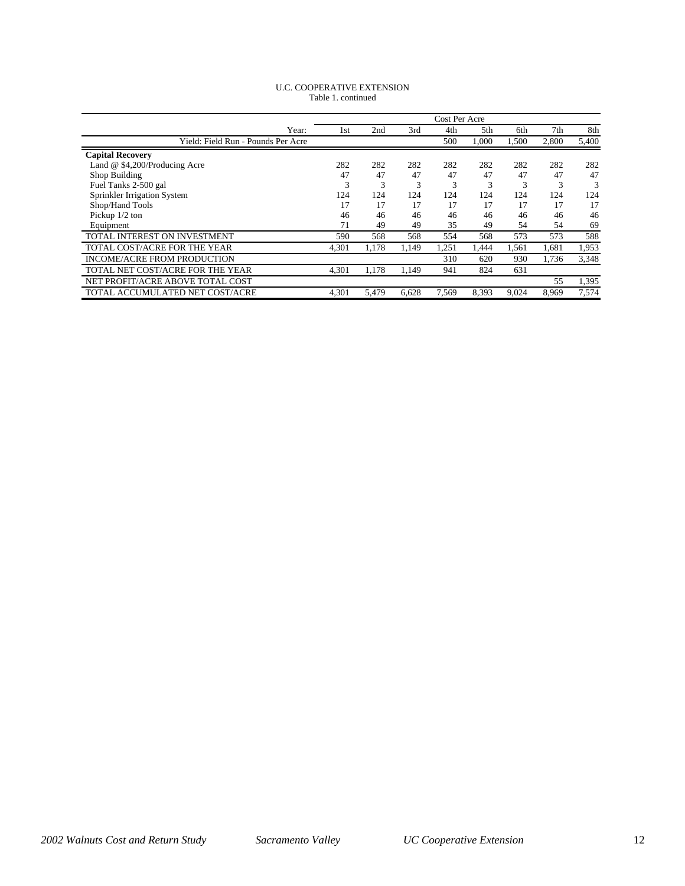| <b>U.C. COOPERATIVE EXTENSION</b> |  |  |  |  |  |
|-----------------------------------|--|--|--|--|--|
| Table 1. continued                |  |  |  |  |  |

|                                    |       |       |       | Cost Per Acre |       |       |       |       |
|------------------------------------|-------|-------|-------|---------------|-------|-------|-------|-------|
| Year:                              | 1st   | 2nd   | 3rd   | 4th           | 5th   | 6th   | 7th   | 8th   |
| Yield: Field Run - Pounds Per Acre |       |       |       | 500           | 1.000 | 1,500 | 2,800 | 5,400 |
| <b>Capital Recovery</b>            |       |       |       |               |       |       |       |       |
| Land @ \$4,200/Producing Acre      | 282   | 282   | 282   | 282           | 282   | 282   | 282   | 282   |
| Shop Building                      | 47    | 47    | 47    | 47            | 47    | 47    | 47    | 47    |
| Fuel Tanks 2-500 gal               | 3     | 3     | 3     | 3             | 3     | 3     | 3     | 3     |
| Sprinkler Irrigation System        | 124   | 124   | 124   | 124           | 124   | 124   | 124   | 124   |
| Shop/Hand Tools                    | 17    | 17    | 17    | 17            | 17    | 17    | 17    | 17    |
| Pickup $1/2$ ton                   | 46    | 46    | 46    | 46            | 46    | 46    | 46    | 46    |
| Equipment                          | 71    | 49    | 49    | 35            | 49    | 54    | 54    | 69    |
| TOTAL INTEREST ON INVESTMENT       | 590   | 568   | 568   | 554           | 568   | 573   | 573   | 588   |
| TOTAL COST/ACRE FOR THE YEAR       | 4,301 | 1,178 | 1,149 | 1,251         | 1,444 | 1,561 | 1,681 | 1,953 |
| INCOME/ACRE FROM PRODUCTION        |       |       |       | 310           | 620   | 930   | 1.736 | 3,348 |
| TOTAL NET COST/ACRE FOR THE YEAR   | 4,301 | 1,178 | 1,149 | 941           | 824   | 631   |       |       |
| NET PROFIT/ACRE ABOVE TOTAL COST   |       |       |       |               |       |       | 55    | 1,395 |
| TOTAL ACCUMULATED NET COST/ACRE    | 4,301 | 5.479 | 6.628 | 7,569         | 8.393 | 9.024 | 8.969 | 7,574 |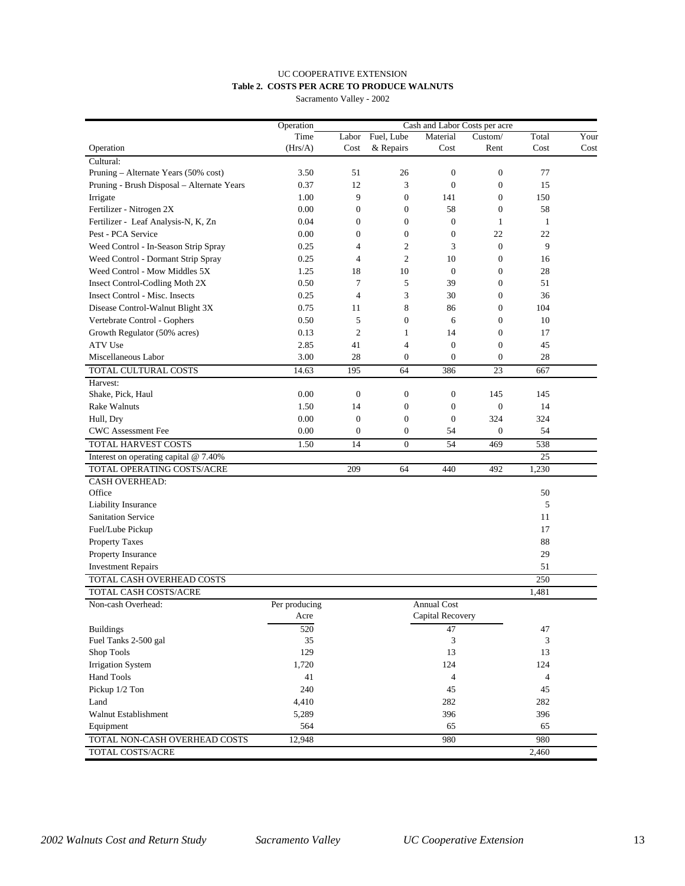# UC COOPERATIVE EXTENSION **Table 2. COSTS PER ACRE TO PRODUCE WALNUTS**

Sacramento Valley - 2002

|                                            | Operation     | Cash and Labor Costs per acre |                  |                    |                  |                |      |
|--------------------------------------------|---------------|-------------------------------|------------------|--------------------|------------------|----------------|------|
|                                            | Time          | Labor                         | Fuel, Lube       | Material           | Custom/          | Total          | Your |
| Operation                                  | (Hrs/A)       | Cost                          | & Repairs        | Cost               | Rent             | Cost           | Cost |
| Cultural:                                  |               |                               |                  |                    |                  |                |      |
| Pruning - Alternate Years (50% cost)       | 3.50          | 51                            | 26               | $\boldsymbol{0}$   | $\boldsymbol{0}$ | 77             |      |
| Pruning - Brush Disposal - Alternate Years | 0.37          | 12                            | 3                | $\mathbf{0}$       | $\boldsymbol{0}$ | 15             |      |
| Irrigate                                   | 1.00          | 9                             | $\mathbf{0}$     | 141                | $\mathbf{0}$     | 150            |      |
| Fertilizer - Nitrogen 2X                   | 0.00          | $\theta$                      | $\theta$         | 58                 | $\boldsymbol{0}$ | 58             |      |
| Fertilizer - Leaf Analysis-N, K, Zn        | 0.04          | $\theta$                      | $\theta$         | $\overline{0}$     | $\mathbf{1}$     | $\mathbf{1}$   |      |
| Pest - PCA Service                         | 0.00          | $\overline{0}$                | $\boldsymbol{0}$ | $\boldsymbol{0}$   | 22               | 22             |      |
| Weed Control - In-Season Strip Spray       | 0.25          | $\overline{4}$                | $\overline{c}$   | 3                  | $\boldsymbol{0}$ | 9              |      |
| Weed Control - Dormant Strip Spray         | 0.25          | $\overline{4}$                | $\overline{2}$   | 10                 | $\boldsymbol{0}$ | 16             |      |
| Weed Control - Mow Middles 5X              | 1.25          | 18                            | 10               | $\theta$           | $\mathbf{0}$     | 28             |      |
| Insect Control-Codling Moth 2X             | 0.50          | 7                             | 5                | 39                 | $\boldsymbol{0}$ | 51             |      |
| Insect Control - Misc. Insects             | 0.25          | $\overline{4}$                | 3                | 30                 | $\boldsymbol{0}$ | 36             |      |
| Disease Control-Walnut Blight 3X           | 0.75          | 11                            | 8                | 86                 | $\boldsymbol{0}$ | 104            |      |
| Vertebrate Control - Gophers               | 0.50          | 5                             | $\boldsymbol{0}$ | 6                  | $\boldsymbol{0}$ | 10             |      |
| Growth Regulator (50% acres)               | 0.13          | $\mathfrak{2}$                | $\mathbf{1}$     | 14                 | $\boldsymbol{0}$ | 17             |      |
| ATV Use                                    | 2.85          | 41                            | $\overline{4}$   | $\mathbf{0}$       | $\boldsymbol{0}$ | 45             |      |
| Miscellaneous Labor                        | 3.00          | 28                            | $\theta$         | $\mathbf{0}$       | $\boldsymbol{0}$ | 28             |      |
| TOTAL CULTURAL COSTS                       | 14.63         | 195                           | 64               | 386                | 23               | 667            |      |
| Harvest:                                   |               |                               |                  |                    |                  |                |      |
| Shake, Pick, Haul                          | 0.00          | $\theta$                      | $\mathbf{0}$     | $\boldsymbol{0}$   | 145              | 145            |      |
| <b>Rake Walnuts</b>                        | 1.50          | 14                            | $\boldsymbol{0}$ | $\boldsymbol{0}$   | $\boldsymbol{0}$ | 14             |      |
| Hull, Dry                                  | 0.00          | $\boldsymbol{0}$              | $\boldsymbol{0}$ | $\mathbf{0}$       | 324              | 324            |      |
| CWC Assessment Fee                         | 0.00          | $\theta$                      | $\boldsymbol{0}$ | 54                 | $\boldsymbol{0}$ | 54             |      |
| <b>TOTAL HARVEST COSTS</b>                 | 1.50          | 14                            | $\mathbf{0}$     | 54                 | 469              | 538            |      |
| Interest on operating capital $@$ 7.40%    |               |                               |                  |                    |                  | 25             |      |
| TOTAL OPERATING COSTS/ACRE                 |               | 209                           | 64               | 440                | 492              | 1,230          |      |
| <b>CASH OVERHEAD:</b>                      |               |                               |                  |                    |                  |                |      |
| Office                                     |               |                               |                  |                    |                  | 50             |      |
| Liability Insurance                        |               |                               |                  |                    |                  | 5              |      |
| <b>Sanitation Service</b>                  |               |                               |                  |                    |                  | 11             |      |
| Fuel/Lube Pickup                           |               |                               |                  |                    |                  | 17             |      |
| <b>Property Taxes</b>                      |               |                               |                  |                    |                  | 88             |      |
| Property Insurance                         |               |                               |                  |                    |                  | 29             |      |
| <b>Investment Repairs</b>                  |               |                               |                  |                    |                  | 51             |      |
| TOTAL CASH OVERHEAD COSTS                  |               |                               |                  |                    |                  | 250            |      |
| TOTAL CASH COSTS/ACRE                      |               |                               |                  |                    |                  | 1,481          |      |
| Non-cash Overhead:                         | Per producing |                               |                  | <b>Annual Cost</b> |                  |                |      |
|                                            | Acre          |                               |                  | Capital Recovery   |                  |                |      |
| <b>Buildings</b>                           |               |                               |                  |                    |                  |                |      |
| Fuel Tanks 2-500 gal                       | 520<br>35     |                               |                  | 47<br>3            |                  | 47<br>3        |      |
| Shop Tools                                 | 129           |                               |                  | 13                 |                  | 13             |      |
|                                            |               |                               |                  |                    |                  |                |      |
| <b>Irrigation System</b>                   | 1,720         |                               |                  | 124                |                  | 124            |      |
| Hand Tools                                 | 41            |                               |                  | $\overline{4}$     |                  | $\overline{4}$ |      |
| Pickup 1/2 Ton                             | 240           |                               |                  | 45                 |                  | 45             |      |
| Land                                       | 4,410         |                               |                  | 282                |                  | 282            |      |
| Walnut Establishment                       | 5,289         |                               |                  | 396                |                  | 396            |      |
| Equipment                                  | 564           |                               |                  | 65                 |                  | 65             |      |
| TOTAL NON-CASH OVERHEAD COSTS              | 12,948        |                               |                  | 980                |                  | 980            |      |
| TOTAL COSTS/ACRE                           |               |                               |                  |                    |                  | 2,460          |      |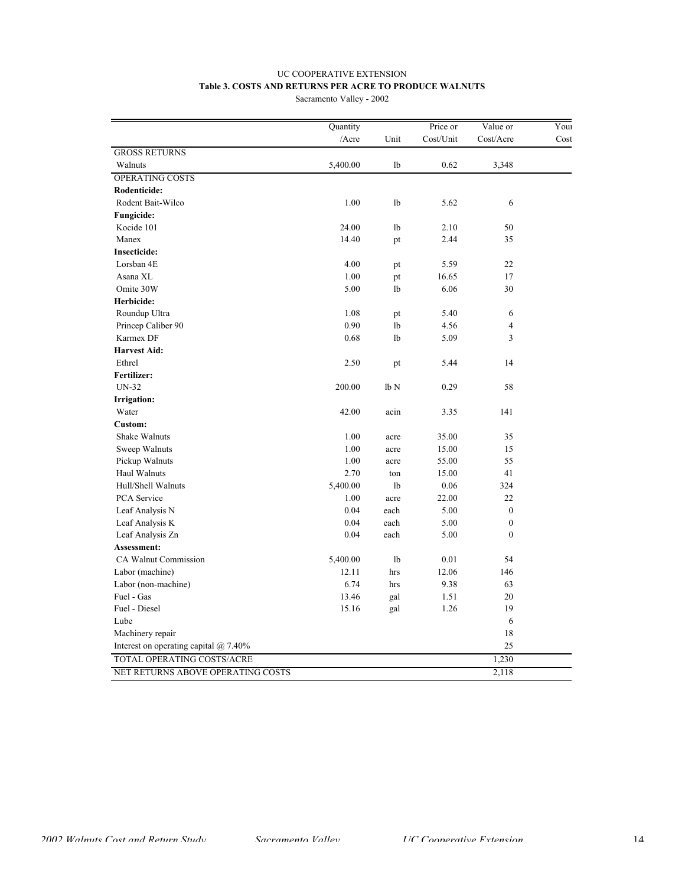## UC COOPERATIVE EXTENSION **Table 3. COSTS AND RETURNS PER ACRE TO PRODUCE WALNUTS**

Sacramento Valley - 2002

|                                       | Quantity |                 | Price or  | Value or         | Youi |
|---------------------------------------|----------|-----------------|-----------|------------------|------|
|                                       | /Acre    | Unit            | Cost/Unit | Cost/Acre        | Cost |
| <b>GROSS RETURNS</b>                  |          |                 |           |                  |      |
| Walnuts                               | 5,400.00 | lb              | 0.62      | 3,348            |      |
| <b>OPERATING COSTS</b>                |          |                 |           |                  |      |
| Rodenticide:                          |          |                 |           |                  |      |
| Rodent Bait-Wilco                     | 1.00     | lb              | 5.62      | 6                |      |
| <b>Fungicide:</b>                     |          |                 |           |                  |      |
| Kocide 101                            | 24.00    | lb              | 2.10      | 50               |      |
| Manex                                 | 14.40    | pt              | 2.44      | 35               |      |
| <b>Insecticide:</b>                   |          |                 |           |                  |      |
| Lorsban 4E                            | 4.00     | pt              | 5.59      | 22               |      |
| Asana XL                              | 1.00     | pt              | 16.65     | 17               |      |
| Omite 30W                             | 5.00     | lb              | 6.06      | 30               |      |
| Herbicide:                            |          |                 |           |                  |      |
| Roundup Ultra                         | 1.08     | pt              | 5.40      | 6                |      |
| Princep Caliber 90                    | 0.90     | lb              | 4.56      | $\overline{4}$   |      |
| Karmex DF                             | 0.68     | lb              | 5.09      | 3                |      |
| <b>Harvest Aid:</b>                   |          |                 |           |                  |      |
| Ethrel                                | 2.50     | pt              | 5.44      | 14               |      |
| Fertilizer:                           |          |                 |           |                  |      |
| <b>UN-32</b>                          | 200.00   | lb <sub>N</sub> | 0.29      | 58               |      |
| Irrigation:                           |          |                 |           |                  |      |
| Water                                 | 42.00    | acin            | 3.35      | 141              |      |
| Custom:                               |          |                 |           |                  |      |
| Shake Walnuts                         | 1.00     | acre            | 35.00     | 35               |      |
| Sweep Walnuts                         | 1.00     | acre            | 15.00     | 15               |      |
| Pickup Walnuts                        | 1.00     | acre            | 55.00     | 55               |      |
| Haul Walnuts                          | 2.70     | ton             | 15.00     | 41               |      |
| Hull/Shell Walnuts                    | 5,400.00 | lb              | 0.06      | 324              |      |
| PCA Service                           | 1.00     | acre            | 22.00     | 22               |      |
| Leaf Analysis N                       | 0.04     | each            | 5.00      | $\boldsymbol{0}$ |      |
| Leaf Analysis K                       | 0.04     | each            | 5.00      | $\boldsymbol{0}$ |      |
| Leaf Analysis Zn                      | 0.04     | each            | 5.00      | $\mathbf{0}$     |      |
| Assessment:                           |          |                 |           |                  |      |
| CA Walnut Commission                  | 5,400.00 | lb              | 0.01      | 54               |      |
| Labor (machine)                       | 12.11    | hrs             | 12.06     | 146              |      |
| Labor (non-machine)                   | 6.74     | hrs             | 9.38      | 63               |      |
| Fuel - Gas                            | 13.46    | gal             | 1.51      | 20               |      |
| Fuel - Diesel                         | 15.16    | gal             | 1.26      | 19               |      |
| Lube                                  |          |                 |           | 6                |      |
| Machinery repair                      |          |                 |           | 18               |      |
| Interest on operating capital @ 7.40% |          |                 |           | 25               |      |
| TOTAL OPERATING COSTS/ACRE            |          |                 |           | 1,230            |      |
| NET RETURNS ABOVE OPERATING COSTS     |          |                 |           | 2,118            |      |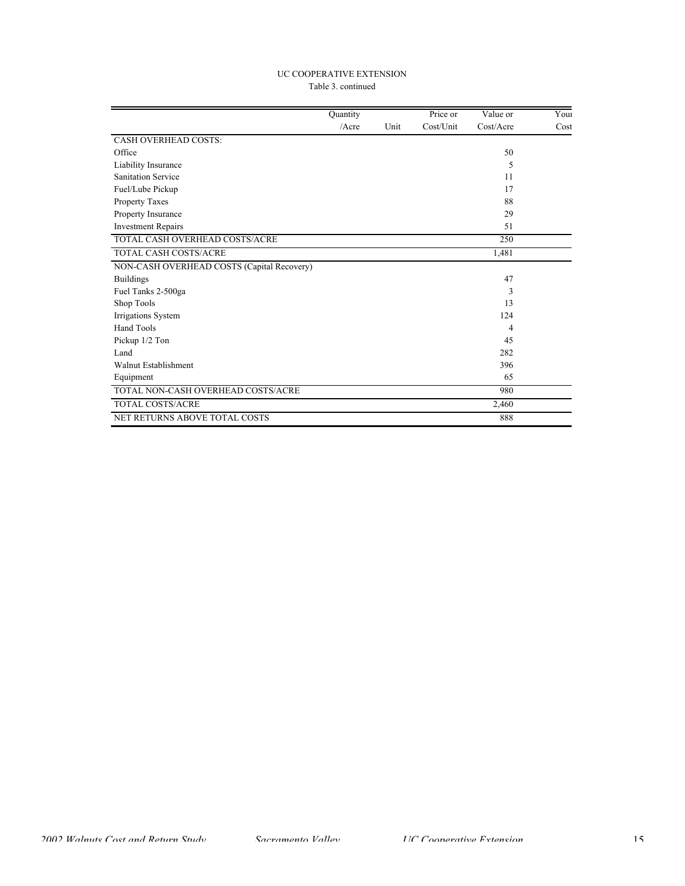## UC COOPERATIVE EXTENSION Table 3. continued

|                                            | Quantity |      | Price or  | Value or  | Youi |
|--------------------------------------------|----------|------|-----------|-----------|------|
|                                            | /Acre    | Unit | Cost/Unit | Cost/Acre | Cost |
| <b>CASH OVERHEAD COSTS:</b>                |          |      |           |           |      |
| Office                                     |          |      |           | 50        |      |
| Liability Insurance                        |          |      |           | 5         |      |
| <b>Sanitation Service</b>                  |          |      |           | 11        |      |
| Fuel/Lube Pickup                           |          |      |           | 17        |      |
| Property Taxes                             |          |      |           | 88        |      |
| Property Insurance                         |          |      |           | 29        |      |
| <b>Investment Repairs</b>                  |          |      |           | 51        |      |
| TOTAL CASH OVERHEAD COSTS/ACRE             |          |      |           | 250       |      |
| <b>TOTAL CASH COSTS/ACRE</b>               |          |      |           | 1,481     |      |
| NON-CASH OVERHEAD COSTS (Capital Recovery) |          |      |           |           |      |
| <b>Buildings</b>                           |          |      |           | 47        |      |
| Fuel Tanks 2-500ga                         |          |      |           | 3         |      |
| Shop Tools                                 |          |      |           | 13        |      |
| Irrigations System                         |          |      |           | 124       |      |
| Hand Tools                                 |          |      |           | 4         |      |
| Pickup 1/2 Ton                             |          |      |           | 45        |      |
| Land                                       |          |      |           | 282       |      |
| Walnut Establishment                       |          |      |           | 396       |      |
| Equipment                                  |          |      |           | 65        |      |
| TOTAL NON-CASH OVERHEAD COSTS/ACRE         |          |      |           | 980       |      |
| TOTAL COSTS/ACRE                           |          |      |           | 2,460     |      |
| NET RETURNS ABOVE TOTAL COSTS              |          |      |           | 888       |      |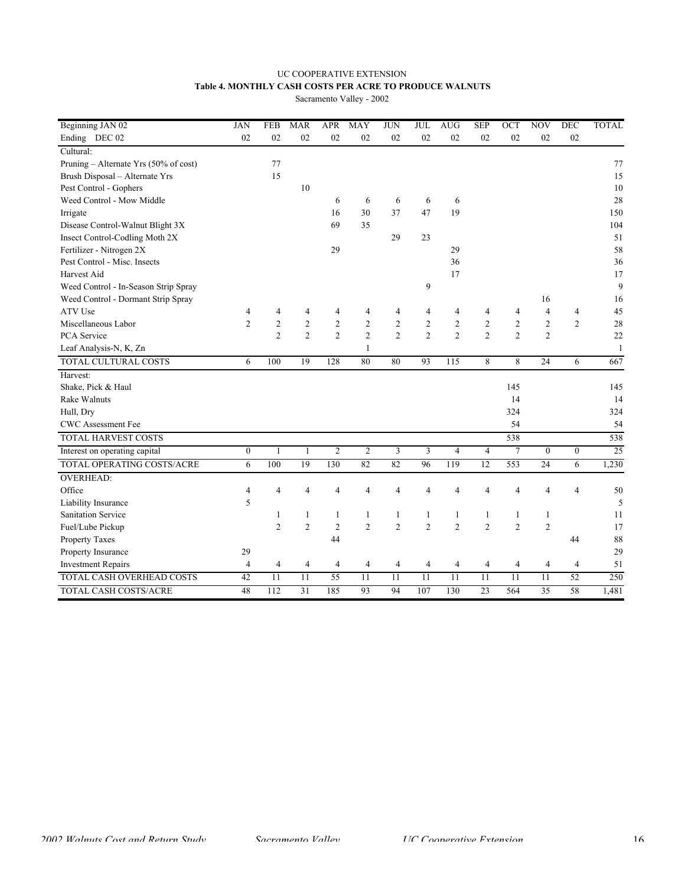# UC COOPERATIVE EXTENSION **Table 4. MONTHLY CASH COSTS PER ACRE TO PRODUCE WALNUTS**

Sacramento Valley - 2002

| Beginning JAN 02                      | <b>JAN</b>       | <b>FEB</b>     | <b>MAR</b>      | <b>APR</b>     | <b>MAY</b>     | <b>JUN</b>      | <b>JUL</b>     | <b>AUG</b>      | <b>SEP</b>      | OCT            | <b>NOV</b>               | <b>DEC</b>     | <b>TOTAL</b> |
|---------------------------------------|------------------|----------------|-----------------|----------------|----------------|-----------------|----------------|-----------------|-----------------|----------------|--------------------------|----------------|--------------|
| Ending DEC 02                         | 02               | 02             | 02              | 02             | 02             | 02              | 02             | 02              | 02              | 02             | 02                       | 02             |              |
| Cultural:                             |                  |                |                 |                |                |                 |                |                 |                 |                |                          |                |              |
| Pruning - Alternate Yrs (50% of cost) |                  | 77             |                 |                |                |                 |                |                 |                 |                |                          |                | 77           |
| Brush Disposal - Alternate Yrs        |                  | 15             |                 |                |                |                 |                |                 |                 |                |                          |                | 15           |
| Pest Control - Gophers                |                  |                | 10              |                |                |                 |                |                 |                 |                |                          |                | 10           |
| Weed Control - Mow Middle             |                  |                |                 | 6              | 6              | 6               | 6              | 6               |                 |                |                          |                | 28           |
| Irrigate                              |                  |                |                 | 16             | 30             | 37              | 47             | 19              |                 |                |                          |                | 150          |
| Disease Control-Walnut Blight 3X      |                  |                |                 | 69             | 35             |                 |                |                 |                 |                |                          |                | 104          |
| Insect Control-Codling Moth 2X        |                  |                |                 |                |                | 29              | 23             |                 |                 |                |                          |                | 51           |
| Fertilizer - Nitrogen 2X              |                  |                |                 | 29             |                |                 |                | 29              |                 |                |                          |                | 58           |
| Pest Control - Misc. Insects          |                  |                |                 |                |                |                 |                | 36              |                 |                |                          |                | 36           |
| Harvest Aid                           |                  |                |                 |                |                |                 |                | 17              |                 |                |                          |                | 17           |
| Weed Control - In-Season Strip Spray  |                  |                |                 |                |                |                 | 9              |                 |                 |                |                          |                | 9            |
| Weed Control - Dormant Strip Spray    |                  |                |                 |                |                |                 |                |                 |                 |                | 16                       |                | 16           |
| ATV Use                               | $\overline{4}$   | 4              | 4               | 4              | 4              | 4               | 4              | 4               | $\overline{4}$  | 4              | $\overline{\mathcal{L}}$ | $\overline{4}$ | 45           |
| Miscellaneous Labor                   | $\overline{2}$   | $\overline{2}$ | $\overline{2}$  | $\overline{2}$ | $\overline{2}$ | $\overline{c}$  | $\overline{c}$ | $\overline{2}$  | $\overline{2}$  | $\overline{2}$ | $\overline{c}$           | $\overline{2}$ | 28           |
| PCA Service                           |                  | $\overline{2}$ | $\overline{2}$  | $\overline{2}$ | $\overline{2}$ | $\overline{2}$  | $\overline{2}$ | $\overline{2}$  | $\overline{2}$  | $\overline{2}$ | $\overline{c}$           |                | $22\,$       |
| Leaf Analysis-N, K, Zn                |                  |                |                 |                | $\mathbf{1}$   |                 |                |                 |                 |                |                          |                | $\mathbf{1}$ |
| TOTAL CULTURAL COSTS                  | 6                | 100            | 19              | 128            | 80             | 80              | 93             | 115             | 8               | 8              | 24                       | 6              | 667          |
| Harvest:                              |                  |                |                 |                |                |                 |                |                 |                 |                |                          |                |              |
| Shake, Pick & Haul                    |                  |                |                 |                |                |                 |                |                 |                 | 145            |                          |                | 145          |
| <b>Rake Walnuts</b>                   |                  |                |                 |                |                |                 |                |                 |                 | 14             |                          |                | 14           |
| Hull, Dry                             |                  |                |                 |                |                |                 |                |                 |                 | 324            |                          |                | 324          |
| CWC Assessment Fee                    |                  |                |                 |                |                |                 |                |                 |                 | 54             |                          |                | 54           |
| <b>TOTAL HARVEST COSTS</b>            |                  |                |                 |                |                |                 |                |                 |                 | 538            |                          |                | 538          |
| Interest on operating capital         | $\boldsymbol{0}$ | $\mathbf{1}$   | $\mathbf{1}$    | $\overline{c}$ | $\overline{2}$ | 3               | 3              | $\overline{4}$  | $\overline{4}$  | $\overline{7}$ | $\overline{0}$           | $\mathbf{0}$   | 25           |
| TOTAL OPERATING COSTS/ACRE            | 6                | 100            | 19              | 130            | 82             | 82              | 96             | 119             | $\overline{12}$ | 553            | $\overline{24}$          | 6              | 1,230        |
| <b>OVERHEAD:</b>                      |                  |                |                 |                |                |                 |                |                 |                 |                |                          |                |              |
| Office                                | 4                | $\overline{4}$ | 4               | $\overline{4}$ | $\overline{4}$ | $\overline{4}$  | $\overline{4}$ | $\overline{4}$  | $\overline{4}$  | $\overline{4}$ | $\overline{4}$           | $\overline{4}$ | 50           |
| Liability Insurance                   | 5                |                |                 |                |                |                 |                |                 |                 |                |                          |                | 5            |
| <b>Sanitation Service</b>             |                  | 1              | 1               | $\mathbf{1}$   | $\mathbf{1}$   | $\mathbf{1}$    | $\mathbf{1}$   | $\mathbf{1}$    | $\mathbf{1}$    | $\mathbf{1}$   | $\mathbf{1}$             |                | 11           |
| Fuel/Lube Pickup                      |                  | $\overline{2}$ | $\overline{2}$  | $\overline{2}$ | $\overline{2}$ | $\overline{c}$  | $\overline{c}$ | $\overline{2}$  | $\overline{2}$  | $\overline{c}$ | $\overline{c}$           |                | 17           |
| Property Taxes                        |                  |                |                 | 44             |                |                 |                |                 |                 |                |                          | 44             | 88           |
| Property Insurance                    | 29               |                |                 |                |                |                 |                |                 |                 |                |                          |                | 29           |
| <b>Investment Repairs</b>             | $\overline{4}$   | 4              | 4               | 4              | 4              | 4               | 4              | 4               | 4               | 4              | 4                        | 4              | 51           |
| TOTAL CASH OVERHEAD COSTS             | 42               | 11             | $\overline{11}$ | 55             | 11             | $\overline{11}$ | 11             | $\overline{11}$ | 11              | 11             | 11                       | 52             | 250          |
| <b>TOTAL CASH COSTS/ACRE</b>          | 48               | 112            | 31              | 185            | 93             | 94              | 107            | 130             | 23              | 564            | 35                       | 58             | 1,481        |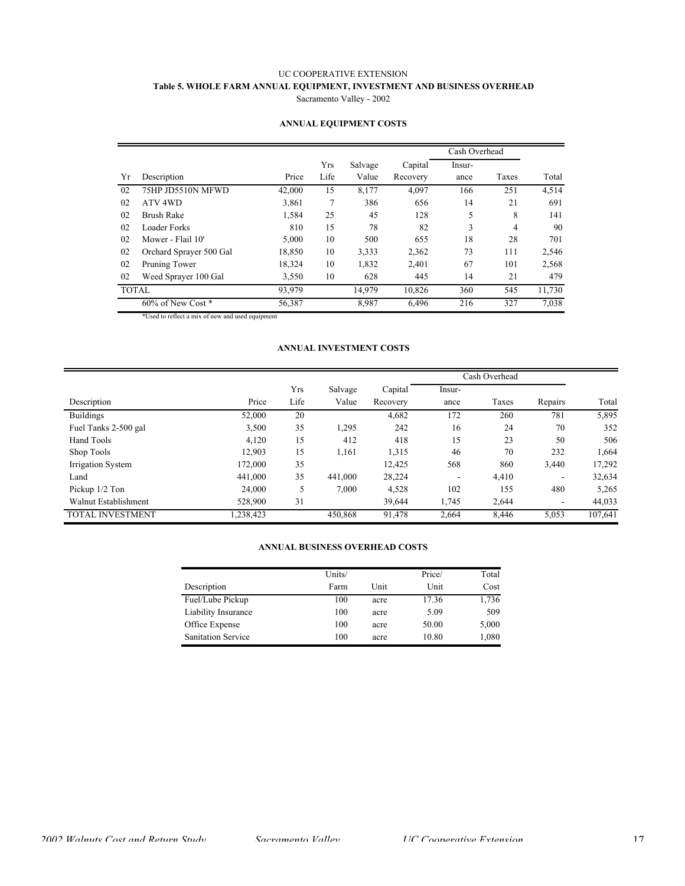## UC COOPERATIVE EXTENSION **Table 5. WHOLE FARM ANNUAL EQUIPMENT, INVESTMENT AND BUSINESS OVERHEAD** Sacramento Valley - 2002

|              |                         |        |             |                  |                     | Cash Overhead  |       |        |
|--------------|-------------------------|--------|-------------|------------------|---------------------|----------------|-------|--------|
| Yr           | Description             | Price  | Yrs<br>Life | Salvage<br>Value | Capital<br>Recovery | Insur-<br>ance | Taxes | Total  |
| 02           | 75HP JD5510N MFWD       | 42,000 | 15          | 8,177            | 4,097               | 166            | 251   | 4,514  |
| 02           | ATV <sub>4WD</sub>      | 3,861  | 7           | 386              | 656                 | 14             | 21    | 691    |
| 02           | <b>Brush Rake</b>       | 1,584  | 25          | 45               | 128                 | 5              | 8     | 141    |
| 02           | Loader Forks            | 810    | 15          | 78               | 82                  | 3              | 4     | 90     |
| 02           | Mower - Flail 10'       | 5,000  | 10          | 500              | 655                 | 18             | 28    | 701    |
| 02           | Orchard Sprayer 500 Gal | 18,850 | 10          | 3,333            | 2,362               | 73             | 111   | 2,546  |
| 02           | Pruning Tower           | 18,324 | 10          | 1,832            | 2,401               | 67             | 101   | 2,568  |
| 02           | Weed Sprayer 100 Gal    | 3,550  | 10          | 628              | 445                 | 14             | 21    | 479    |
| <b>TOTAL</b> |                         | 93,979 |             | 14,979           | 10.826              | 360            | 545   | 11,730 |
|              | 60% of New Cost *       | 56,387 |             | 8,987            | 6,496               | 216            | 327   | 7,038  |

## **ANNUAL EQUIPMENT COSTS**

\*Used to reflect a mix of new and used equipment

#### **ANNUAL INVESTMENT COSTS**

|                         |          |      |         |          | Cash Overhead |       |         |         |
|-------------------------|----------|------|---------|----------|---------------|-------|---------|---------|
|                         |          | Yrs  | Salvage | Capital  | Insur-        |       |         |         |
| Description             | Price    | Life | Value   | Recovery | ance          | Taxes | Repairs | Total   |
| <b>Buildings</b>        | 52,000   | 20   |         | 4,682    | 172           | 260   | 781     | 5,895   |
| Fuel Tanks 2-500 gal    | 3,500    | 35   | 1,295   | 242      | 16            | 24    | 70      | 352     |
| Hand Tools              | 4,120    | 15   | 412     | 418      | 15            | 23    | 50      | 506     |
| Shop Tools              | 12,903   | 15   | 1,161   | 1,315    | 46            | 70    | 232     | 1,664   |
| Irrigation System       | 172,000  | 35   |         | 12,425   | 568           | 860   | 3,440   | 17,292  |
| Land                    | 441.000  | 35   | 441.000 | 28,224   | ۰             | 4,410 | -       | 32,634  |
| Pickup $1/2$ Ton        | 24,000   | 5    | 7,000   | 4,528    | 102           | 155   | 480     | 5,265   |
| Walnut Establishment    | 528,900  | 31   |         | 39,644   | 1,745         | 2,644 | ۰       | 44,033  |
| <b>TOTAL INVESTMENT</b> | .238,423 |      | 450.868 | 91,478   | 2,664         | 8,446 | 5,053   | 107,641 |

### **ANNUAL BUSINESS OVERHEAD COSTS**

|                           | Units/ |      | Price/ | Total |
|---------------------------|--------|------|--------|-------|
| Description               | Farm   | Unit | Unit   | Cost  |
| Fuel/Lube Pickup          | 100    | acre | 17.36  | 1,736 |
| Liability Insurance       | 100    | acre | 5.09   | 509   |
| Office Expense            | 100    | acre | 50.00  | 5,000 |
| <b>Sanitation Service</b> | 100    | acre | 10.80  | 1,080 |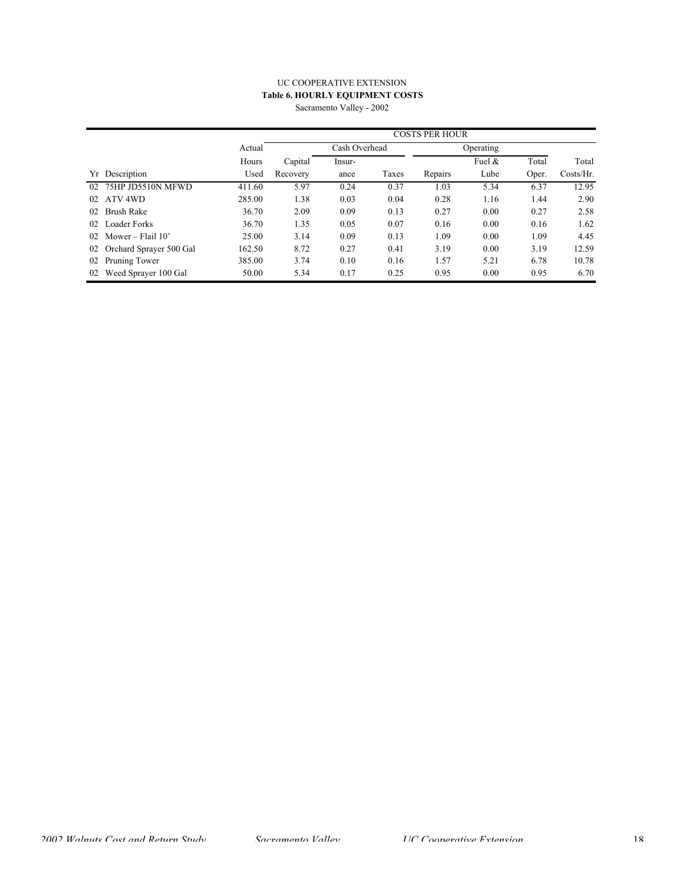## UC COOPERATIVE EXTENSION **Table 6. HOURLY EQUIPMENT COSTS** Sacramento Valley - 2002

|    |                         |        | <b>COSTS PER HOUR</b> |               |       |           |           |       |              |  |
|----|-------------------------|--------|-----------------------|---------------|-------|-----------|-----------|-------|--------------|--|
|    |                         | Actual |                       | Cash Overhead |       | Operating |           |       |              |  |
|    |                         | Hours  | Capital               | Insur-        |       |           | Fuel $\&$ | Total | Total        |  |
|    | Yr Description          | Used   | Recovery              | ance          | Taxes | Repairs   | Lube      | Oper. | $Costs/Hr$ . |  |
| 02 | 75HP JD5510N MFWD       | 411.60 | 5.97                  | 0.24          | 0.37  | 1.03      | 5.34      | 6.37  | 12.95        |  |
| 02 | ATV 4WD                 | 285.00 | 1.38                  | 0.03          | 0.04  | 0.28      | 1.16      | 1.44  | 2.90         |  |
| 02 | Brush Rake              | 36.70  | 2.09                  | 0.09          | 0.13  | 0.27      | 0.00      | 0.27  | 2.58         |  |
| 02 | <b>Loader Forks</b>     | 36.70  | 1.35                  | 0.05          | 0.07  | 0.16      | 0.00      | 0.16  | 1.62         |  |
| 02 | Mower – Flail $10'$     | 25.00  | 3.14                  | 0.09          | 0.13  | 1.09      | 0.00      | 1.09  | 4.45         |  |
| 02 | Orchard Sprayer 500 Gal | 162.50 | 8.72                  | 0.27          | 0.41  | 3.19      | 0.00      | 3.19  | 12.59        |  |
| 02 | Pruning Tower           | 385.00 | 3.74                  | 0.10          | 0.16  | 1.57      | 5.21      | 6.78  | 10.78        |  |
| 02 | Weed Sprayer 100 Gal    | 50.00  | 5.34                  | 0.17          | 0.25  | 0.95      | 0.00      | 0.95  | 6.70         |  |